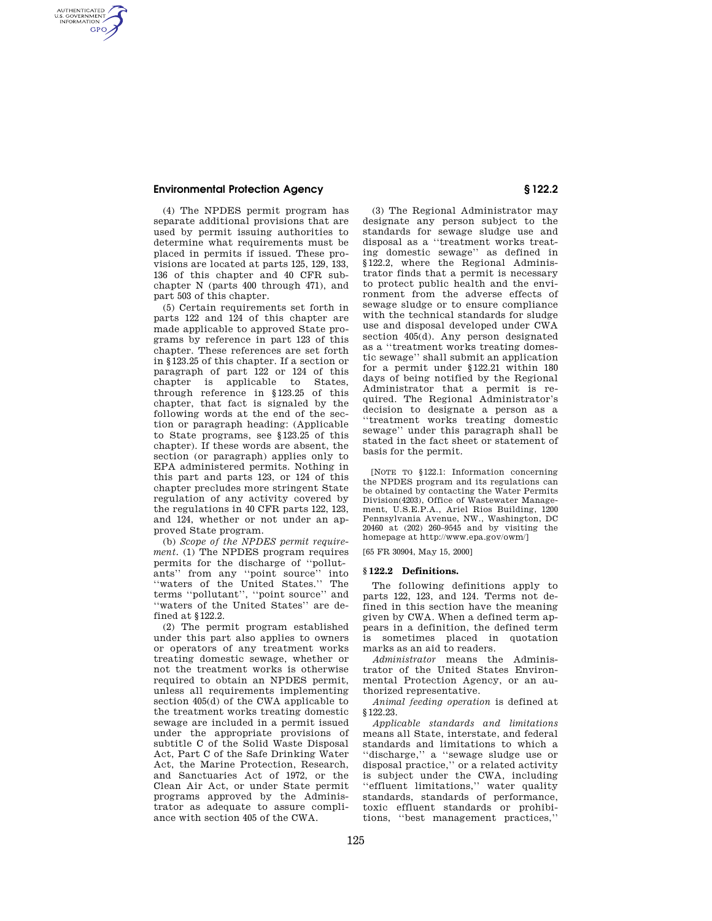AUTHENTICATED<br>U.S. GOVERNMENT<br>INFORMATION **GPO** 

> (4) The NPDES permit program has separate additional provisions that are used by permit issuing authorities to determine what requirements must be placed in permits if issued. These provisions are located at parts 125, 129, 133, 136 of this chapter and 40 CFR subchapter N (parts 400 through 471), and part 503 of this chapter.

> (5) Certain requirements set forth in parts 122 and 124 of this chapter are made applicable to approved State programs by reference in part 123 of this chapter. These references are set forth in § 123.25 of this chapter. If a section or paragraph of part 122 or 124 of this chapter is applicable to States, through reference in § 123.25 of this chapter, that fact is signaled by the following words at the end of the section or paragraph heading: (Applicable to State programs, see § 123.25 of this chapter). If these words are absent, the section (or paragraph) applies only to EPA administered permits. Nothing in this part and parts 123, or 124 of this chapter precludes more stringent State regulation of any activity covered by the regulations in 40 CFR parts 122, 123, and 124, whether or not under an approved State program.

> (b) *Scope of the NPDES permit requirement.* (1) The NPDES program requires permits for the discharge of ''pollutants'' from any ''point source'' into ''waters of the United States.'' The terms ''pollutant'', ''point source'' and ''waters of the United States'' are defined at § 122.2.

> (2) The permit program established under this part also applies to owners or operators of any treatment works treating domestic sewage, whether or not the treatment works is otherwise required to obtain an NPDES permit, unless all requirements implementing section 405(d) of the CWA applicable to the treatment works treating domestic sewage are included in a permit issued under the appropriate provisions of subtitle C of the Solid Waste Disposal Act, Part C of the Safe Drinking Water Act, the Marine Protection, Research, and Sanctuaries Act of 1972, or the Clean Air Act, or under State permit programs approved by the Administrator as adequate to assure compliance with section 405 of the CWA.

(3) The Regional Administrator may designate any person subject to the standards for sewage sludge use and disposal as a ''treatment works treating domestic sewage'' as defined in § 122.2, where the Regional Administrator finds that a permit is necessary to protect public health and the environment from the adverse effects of sewage sludge or to ensure compliance with the technical standards for sludge use and disposal developed under CWA section 405(d). Any person designated as a ''treatment works treating domestic sewage'' shall submit an application for a permit under § 122.21 within 180 days of being notified by the Regional Administrator that a permit is required. The Regional Administrator's decision to designate a person as a ''treatment works treating domestic sewage'' under this paragraph shall be stated in the fact sheet or statement of basis for the permit.

[NOTE TO § 122.1: Information concerning the NPDES program and its regulations can be obtained by contacting the Water Permits Division(4203), Office of Wastewater Management, U.S.E.P.A., Ariel Rios Building, 1200 Pennsylvania Avenue, NW., Washington, DC 20460 at (202) 260–9545 and by visiting the homepage at http://www.epa.gov/owm/]

[65 FR 30904, May 15, 2000]

#### **§ 122.2 Definitions.**

The following definitions apply to parts 122, 123, and 124. Terms not defined in this section have the meaning given by CWA. When a defined term appears in a definition, the defined term is sometimes placed in quotation marks as an aid to readers.

*Administrator* means the Administrator of the United States Environmental Protection Agency, or an authorized representative.

*Animal feeding operation* is defined at § 122.23.

*Applicable standards and limitations* means all State, interstate, and federal standards and limitations to which a ''discharge,'' a ''sewage sludge use or disposal practice,'' or a related activity is subject under the CWA, including ''effluent limitations,'' water quality standards, standards of performance, toxic effluent standards or prohibitions, ''best management practices,''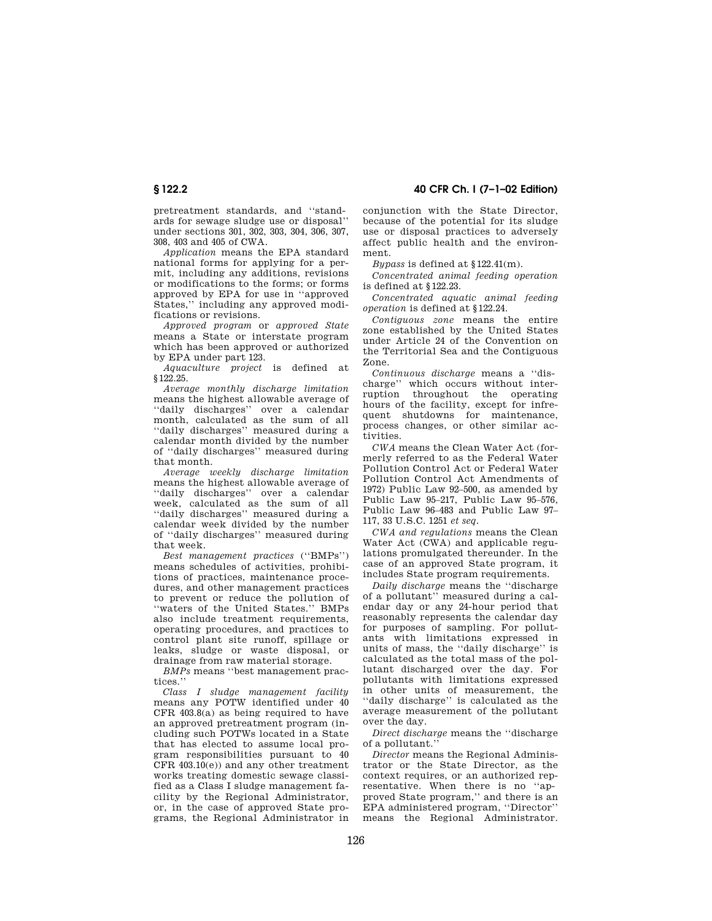pretreatment standards, and ''standards for sewage sludge use or disposal'' under sections 301, 302, 303, 304, 306, 307, 308, 403 and 405 of CWA.

*Application* means the EPA standard national forms for applying for a permit, including any additions, revisions or modifications to the forms; or forms approved by EPA for use in ''approved States,'' including any approved modifications or revisions.

*Approved program* or *approved State* means a State or interstate program which has been approved or authorized by EPA under part 123.

*Aquaculture project* is defined at § 122.25.

*Average monthly discharge limitation* means the highest allowable average of ''daily discharges'' over a calendar month, calculated as the sum of all ''daily discharges'' measured during a calendar month divided by the number of ''daily discharges'' measured during that month.

*Average weekly discharge limitation* means the highest allowable average of ''daily discharges'' over a calendar week, calculated as the sum of all ''daily discharges'' measured during a calendar week divided by the number of ''daily discharges'' measured during that week.

*Best management practices* (''BMPs'') means schedules of activities, prohibitions of practices, maintenance procedures, and other management practices to prevent or reduce the pollution of ''waters of the United States.'' BMPs also include treatment requirements, operating procedures, and practices to control plant site runoff, spillage or leaks, sludge or waste disposal, or drainage from raw material storage.

*BMPs* means ''best management practices.''

*Class I sludge management facility* means any POTW identified under 40  $CFR$  403.8 $(a)$  as being required to have an approved pretreatment program (including such POTWs located in a State that has elected to assume local program responsibilities pursuant to 40 CFR 403.10(e)) and any other treatment works treating domestic sewage classified as a Class I sludge management facility by the Regional Administrator, or, in the case of approved State programs, the Regional Administrator in

**§ 122.2 40 CFR Ch. I (7–1–02 Edition)**

conjunction with the State Director, because of the potential for its sludge use or disposal practices to adversely affect public health and the environment.

*Bypass* is defined at § 122.41(m).

*Concentrated animal feeding operation* is defined at § 122.23.

*Concentrated aquatic animal feeding operation* is defined at § 122.24.

*Contiguous zone* means the entire zone established by the United States under Article 24 of the Convention on the Territorial Sea and the Contiguous Zone.

*Continuous discharge* means a ''discharge'' which occurs without interruption throughout the operating hours of the facility, except for infrequent shutdowns for maintenance, process changes, or other similar activities.

*CWA* means the Clean Water Act (formerly referred to as the Federal Water Pollution Control Act or Federal Water Pollution Control Act Amendments of 1972) Public Law 92–500, as amended by Public Law 95–217, Public Law 95–576, Public Law 96–483 and Public Law 97– 117, 33 U.S.C. 1251 *et seq.*

*CWA and regulations* means the Clean Water Act (CWA) and applicable regulations promulgated thereunder. In the case of an approved State program, it includes State program requirements.

*Daily discharge* means the ''discharge of a pollutant'' measured during a calendar day or any 24-hour period that reasonably represents the calendar day for purposes of sampling. For pollutants with limitations expressed in units of mass, the ''daily discharge'' is calculated as the total mass of the pollutant discharged over the day. For pollutants with limitations expressed in other units of measurement, the ''daily discharge'' is calculated as the average measurement of the pollutant over the day.

*Direct discharge* means the ''discharge of a pollutant.''

*Director* means the Regional Administrator or the State Director, as the context requires, or an authorized representative. When there is no ''approved State program,'' and there is an EPA administered program, ''Director'' means the Regional Administrator.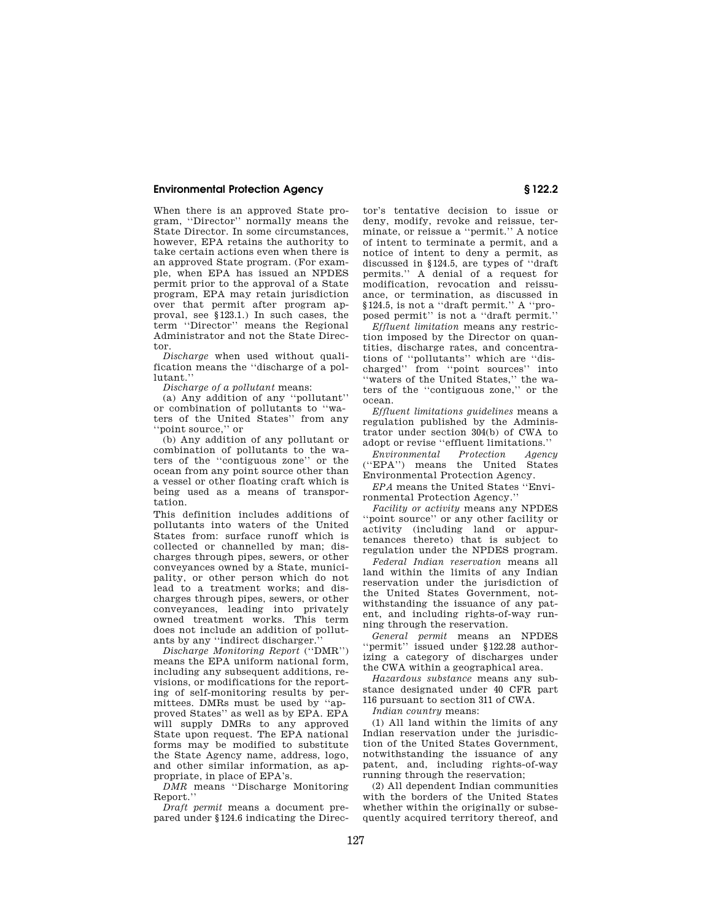When there is an approved State program, ''Director'' normally means the State Director. In some circumstances, however, EPA retains the authority to take certain actions even when there is an approved State program. (For example, when EPA has issued an NPDES permit prior to the approval of a State program, EPA may retain jurisdiction over that permit after program approval, see § 123.1.) In such cases, the term ''Director'' means the Regional Administrator and not the State Director.

*Discharge* when used without qualification means the ''discharge of a pollutant.''

*Discharge of a pollutant* means:

(a) Any addition of any ''pollutant'' or combination of pollutants to ''waters of the United States'' from any ''point source,'' or

(b) Any addition of any pollutant or combination of pollutants to the waters of the ''contiguous zone'' or the ocean from any point source other than a vessel or other floating craft which is being used as a means of transportation.

This definition includes additions of pollutants into waters of the United States from: surface runoff which is collected or channelled by man; discharges through pipes, sewers, or other conveyances owned by a State, municipality, or other person which do not lead to a treatment works; and discharges through pipes, sewers, or other conveyances, leading into privately owned treatment works. This term does not include an addition of pollutants by any ''indirect discharger.''

*Discharge Monitoring Report* (''DMR'') means the EPA uniform national form, including any subsequent additions, revisions, or modifications for the reporting of self-monitoring results by permittees. DMRs must be used by ''approved States'' as well as by EPA. EPA will supply DMRs to any approved State upon request. The EPA national forms may be modified to substitute the State Agency name, address, logo, and other similar information, as appropriate, in place of EPA's.

*DMR* means ''Discharge Monitoring Report.''

*Draft permit* means a document prepared under § 124.6 indicating the Direc-

tor's tentative decision to issue or deny, modify, revoke and reissue, terminate, or reissue a ''permit.'' A notice of intent to terminate a permit, and a notice of intent to deny a permit, as discussed in § 124.5, are types of ''draft permits.'' A denial of a request for modification, revocation and reissuance, or termination, as discussed in § 124.5, is not a ''draft permit.'' A ''proposed permit'' is not a ''draft permit.''

*Effluent limitation* means any restriction imposed by the Director on quantities, discharge rates, and concentrations of ''pollutants'' which are ''discharged'' from ''point sources'' into ''waters of the United States,'' the waters of the ''contiguous zone,'' or the ocean.

*Effluent limitations guidelines* means a regulation published by the Administrator under section 304(b) of CWA to adopt or revise ''effluent limitations.''

*Environmental Protection Agency* "EPA") means the United States Environmental Protection Agency.

*EPA* means the United States ''Environmental Protection Agency.''

*Facility or activity* means any NPDES ''point source'' or any other facility or activity (including land or appurtenances thereto) that is subject to regulation under the NPDES program.

*Federal Indian reservation* means all land within the limits of any Indian reservation under the jurisdiction of the United States Government, notwithstanding the issuance of any patent, and including rights-of-way running through the reservation.

*General permit* means an NPDES ''permit'' issued under § 122.28 authorizing a category of discharges under the CWA within a geographical area.

*Hazardous substance* means any substance designated under 40 CFR part 116 pursuant to section 311 of CWA.

*Indian country* means:

(1) All land within the limits of any Indian reservation under the jurisdiction of the United States Government, notwithstanding the issuance of any patent, and, including rights-of-way running through the reservation;

(2) All dependent Indian communities with the borders of the United States whether within the originally or subsequently acquired territory thereof, and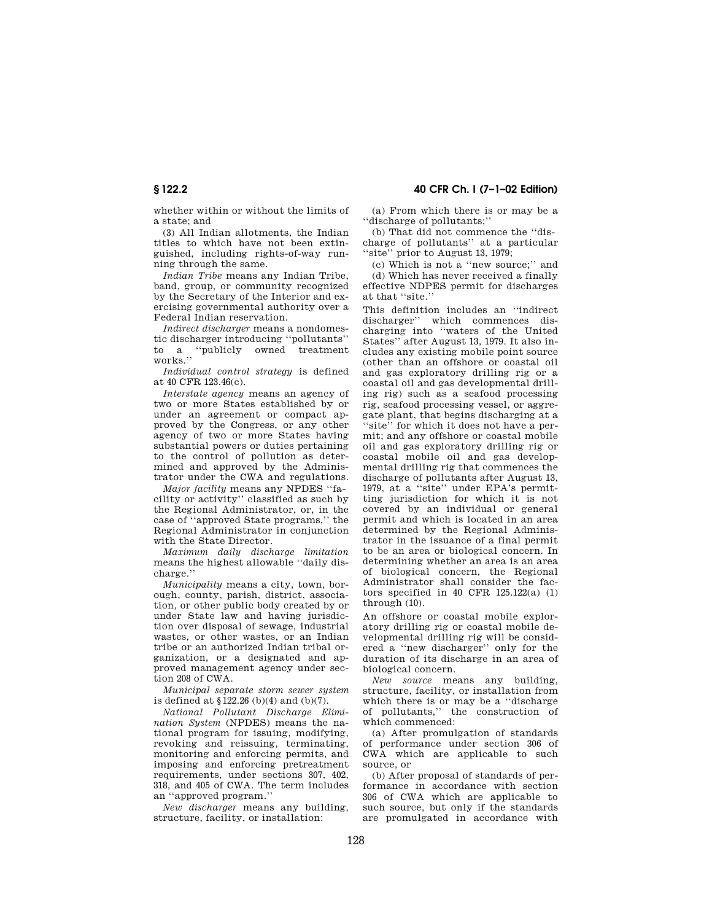whether within or without the limits of a state; and

(3) All Indian allotments, the Indian titles to which have not been extinguished, including rights-of-way running through the same.

*Indian Tribe* means any Indian Tribe, band, group, or community recognized by the Secretary of the Interior and exercising governmental authority over a Federal Indian reservation.

*Indirect discharger* means a nondomestic discharger introducing ''pollutants'' to a ''publicly owned treatment works.''

*Individual control strategy* is defined at 40 CFR 123.46(c).

*Interstate agency* means an agency of two or more States established by or under an agreement or compact approved by the Congress, or any other agency of two or more States having substantial powers or duties pertaining to the control of pollution as determined and approved by the Administrator under the CWA and regulations.

*Major facility* means any NPDES ''facility or activity'' classified as such by the Regional Administrator, or, in the case of ''approved State programs,'' the Regional Administrator in conjunction with the State Director.

*Maximum daily discharge limitation* means the highest allowable ''daily discharge.''

*Municipality* means a city, town, borough, county, parish, district, association, or other public body created by or under State law and having jurisdiction over disposal of sewage, industrial wastes, or other wastes, or an Indian tribe or an authorized Indian tribal organization, or a designated and approved management agency under section 208 of CWA.

*Municipal separate storm sewer system* is defined at § 122.26 (b)(4) and (b)(7).

*National Pollutant Discharge Elimination System* (NPDES) means the national program for issuing, modifying, revoking and reissuing, terminating, monitoring and enforcing permits, and imposing and enforcing pretreatment requirements, under sections 307, 402, 318, and 405 of CWA. The term includes an ''approved program.''

*New discharger* means any building, structure, facility, or installation:

# **§ 122.2 40 CFR Ch. I (7–1–02 Edition)**

(a) From which there is or may be a ''discharge of pollutants;''

(b) That did not commence the ''discharge of pollutants'' at a particular ''site'' prior to August 13, 1979;

(c) Which is not a ''new source;'' and

(d) Which has never received a finally effective NDPES permit for discharges at that ''site.''

This definition includes an ''indirect discharger'' which commences discharging into ''waters of the United States'' after August 13, 1979. It also includes any existing mobile point source (other than an offshore or coastal oil and gas exploratory drilling rig or a coastal oil and gas developmental drilling rig) such as a seafood processing rig, seafood processing vessel, or aggregate plant, that begins discharging at a ''site'' for which it does not have a permit; and any offshore or coastal mobile oil and gas exploratory drilling rig or coastal mobile oil and gas developmental drilling rig that commences the discharge of pollutants after August 13, 1979, at a ''site'' under EPA's permitting jurisdiction for which it is not covered by an individual or general permit and which is located in an area determined by the Regional Administrator in the issuance of a final permit to be an area or biological concern. In determining whether an area is an area of biological concern, the Regional Administrator shall consider the factors specified in 40 CFR  $125.122(a)$  (1) through (10).

An offshore or coastal mobile exploratory drilling rig or coastal mobile developmental drilling rig will be considered a ''new discharger'' only for the duration of its discharge in an area of biological concern.

*New source* means any building, structure, facility, or installation from which there is or may be a ''discharge of pollutants,'' the construction of which commenced:

(a) After promulgation of standards of performance under section 306 of CWA which are applicable to such source, or

(b) After proposal of standards of performance in accordance with section 306 of CWA which are applicable to such source, but only if the standards are promulgated in accordance with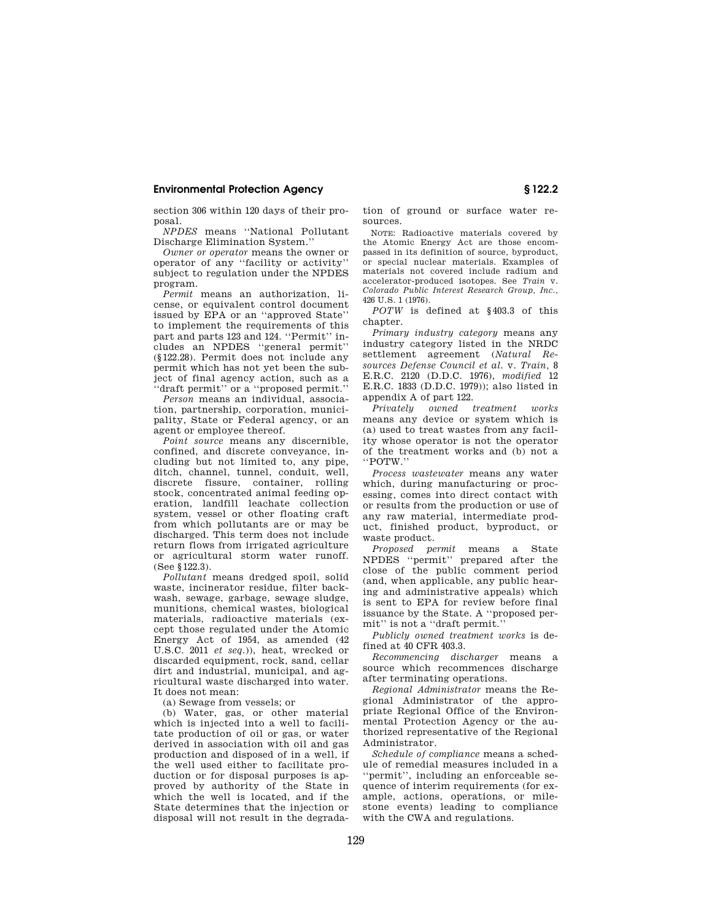section 306 within 120 days of their proposal.

*NPDES* means ''National Pollutant Discharge Elimination System.''

*Owner or operator* means the owner or operator of any ''facility or activity'' subject to regulation under the NPDES program.

*Permit* means an authorization, license, or equivalent control document issued by EPA or an ''approved State'' to implement the requirements of this part and parts 123 and 124. ''Permit'' includes an NPDES ''general permit'' (§ 122.28). Permit does not include any permit which has not yet been the subject of final agency action, such as a ''draft permit'' or a ''proposed permit.''

*Person* means an individual, association, partnership, corporation, municipality, State or Federal agency, or an agent or employee thereof.

*Point source* means any discernible, confined, and discrete conveyance, including but not limited to, any pipe, ditch, channel, tunnel, conduit, well, discrete fissure, container, rolling stock, concentrated animal feeding operation, landfill leachate collection system, vessel or other floating craft from which pollutants are or may be discharged. This term does not include return flows from irrigated agriculture or agricultural storm water runoff. (See § 122.3).

*Pollutant* means dredged spoil, solid waste, incinerator residue, filter backwash, sewage, garbage, sewage sludge, munitions, chemical wastes, biological materials, radioactive materials (except those regulated under the Atomic Energy Act of 1954, as amended (42 U.S.C. 2011 *et seq.*)), heat, wrecked or discarded equipment, rock, sand, cellar dirt and industrial, municipal, and agricultural waste discharged into water. It does not mean:

(a) Sewage from vessels; or

(b) Water, gas, or other material which is injected into a well to facilitate production of oil or gas, or water derived in association with oil and gas production and disposed of in a well, if the well used either to facilitate production or for disposal purposes is approved by authority of the State in which the well is located, and if the State determines that the injection or disposal will not result in the degradation of ground or surface water resources.

NOTE: Radioactive materials covered by the Atomic Energy Act are those encompassed in its definition of source, byproduct, or special nuclear materials. Examples of materials not covered include radium and accelerator-produced isotopes. See *Train* v. *Colorado Public Interest Research Group, Inc.,* 426 U.S. 1 (1976).

*POTW* is defined at § 403.3 of this chapter.

*Primary industry category* means any industry category listed in the NRDC settlement agreement (*Natural Resources Defense Council et al.* v. *Train,* 8 E.R.C. 2120 (D.D.C. 1976), *modified* 12 E.R.C. 1833 (D.D.C. 1979)); also listed in appendix A of part 122.

*Privately owned treatment works* means any device or system which is (a) used to treat wastes from any facility whose operator is not the operator of the treatment works and (b) not a ''POTW.''

*Process wastewater* means any water which, during manufacturing or processing, comes into direct contact with or results from the production or use of any raw material, intermediate product, finished product, byproduct, or waste product.

*Proposed permit* means a State NPDES ''permit'' prepared after the close of the public comment period (and, when applicable, any public hearing and administrative appeals) which is sent to EPA for review before final issuance by the State. A ''proposed permit'' is not a ''draft permit.''

*Publicly owned treatment works* is defined at 40 CFR 403.3.

*Recommencing discharger* means a source which recommences discharge after terminating operations.

*Regional Administrator* means the Regional Administrator of the appropriate Regional Office of the Environmental Protection Agency or the authorized representative of the Regional Administrator.

*Schedule of compliance* means a schedule of remedial measures included in a ''permit'', including an enforceable sequence of interim requirements (for example, actions, operations, or milestone events) leading to compliance with the CWA and regulations.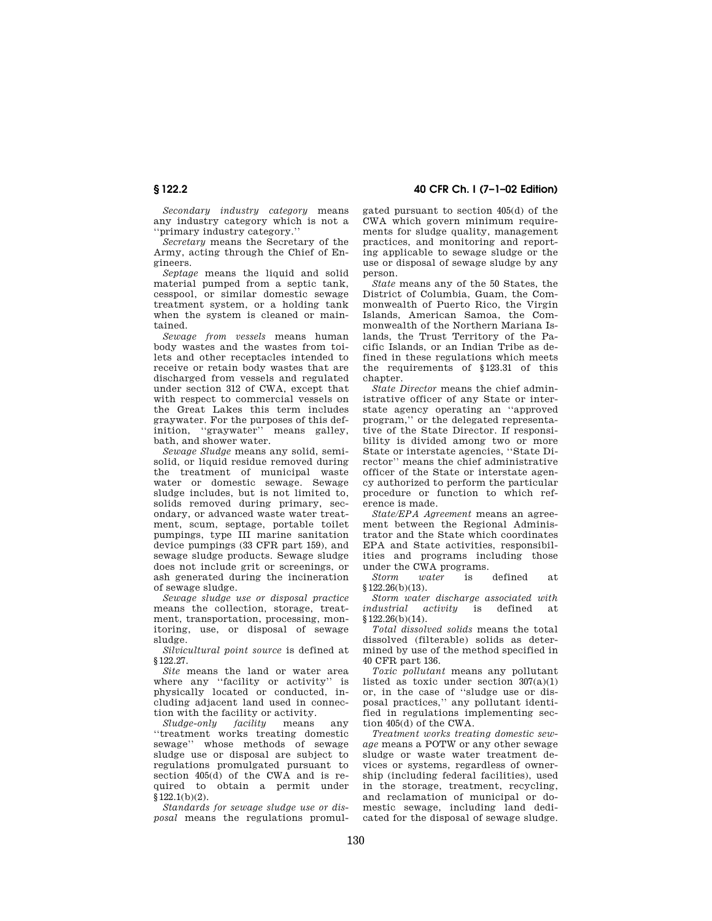*Secondary industry category* means any industry category which is not a ''primary industry category.''

*Secretary* means the Secretary of the Army, acting through the Chief of Engineers.

*Septage* means the liquid and solid material pumped from a septic tank, cesspool, or similar domestic sewage treatment system, or a holding tank when the system is cleaned or maintained.

*Sewage from vessels* means human body wastes and the wastes from toilets and other receptacles intended to receive or retain body wastes that are discharged from vessels and regulated under section 312 of CWA, except that with respect to commercial vessels on the Great Lakes this term includes graywater. For the purposes of this definition, ''graywater'' means galley, bath, and shower water.

*Sewage Sludge* means any solid, semisolid, or liquid residue removed during the treatment of municipal waste water or domestic sewage. Sewage sludge includes, but is not limited to, solids removed during primary, secondary, or advanced waste water treatment, scum, septage, portable toilet pumpings, type III marine sanitation device pumpings (33 CFR part 159), and sewage sludge products. Sewage sludge does not include grit or screenings, or ash generated during the incineration of sewage sludge.

*Sewage sludge use or disposal practice* means the collection, storage, treatment, transportation, processing, monitoring, use, or disposal of sewage sludge.

*Silvicultural point source* is defined at § 122.27.

*Site* means the land or water area where any ''facility or activity'' is physically located or conducted, including adjacent land used in connection with the facility or activity.

*Sludge-only facility* means any ''treatment works treating domestic sewage'' whose methods of sewage sludge use or disposal are subject to regulations promulgated pursuant to section 405(d) of the CWA and is required to obtain a permit under § 122.1(b)(2).

*Standards for sewage sludge use or disposal* means the regulations promul-

**§ 122.2 40 CFR Ch. I (7–1–02 Edition)**

gated pursuant to section 405(d) of the CWA which govern minimum requirements for sludge quality, management practices, and monitoring and reporting applicable to sewage sludge or the use or disposal of sewage sludge by any person.

*State* means any of the 50 States, the District of Columbia, Guam, the Commonwealth of Puerto Rico, the Virgin Islands, American Samoa, the Commonwealth of the Northern Mariana Islands, the Trust Territory of the Pacific Islands, or an Indian Tribe as defined in these regulations which meets the requirements of § 123.31 of this chapter.

*State Director* means the chief administrative officer of any State or interstate agency operating an ''approved program,'' or the delegated representative of the State Director. If responsibility is divided among two or more State or interstate agencies, ''State Director'' means the chief administrative officer of the State or interstate agency authorized to perform the particular procedure or function to which reference is made.

*State/EPA Agreement* means an agreement between the Regional Administrator and the State which coordinates EPA and State activities, responsibilities and programs including those under the  $\tilde{\text{CWA}}$  programs.<br>Storm water is

is defined at § 122.26(b)(13).

*Storm water discharge associated with industrial activity* is defined at § 122.26(b)(14).

*Total dissolved solids* means the total dissolved (filterable) solids as determined by use of the method specified in 40 CFR part 136.

*Toxic pollutant* means any pollutant listed as toxic under section  $307(a)(1)$ or, in the case of ''sludge use or disposal practices,'' any pollutant identified in regulations implementing section 405(d) of the CWA.

*Treatment works treating domestic sewage* means a POTW or any other sewage sludge or waste water treatment devices or systems, regardless of ownership (including federal facilities), used in the storage, treatment, recycling, and reclamation of municipal or domestic sewage, including land dedicated for the disposal of sewage sludge.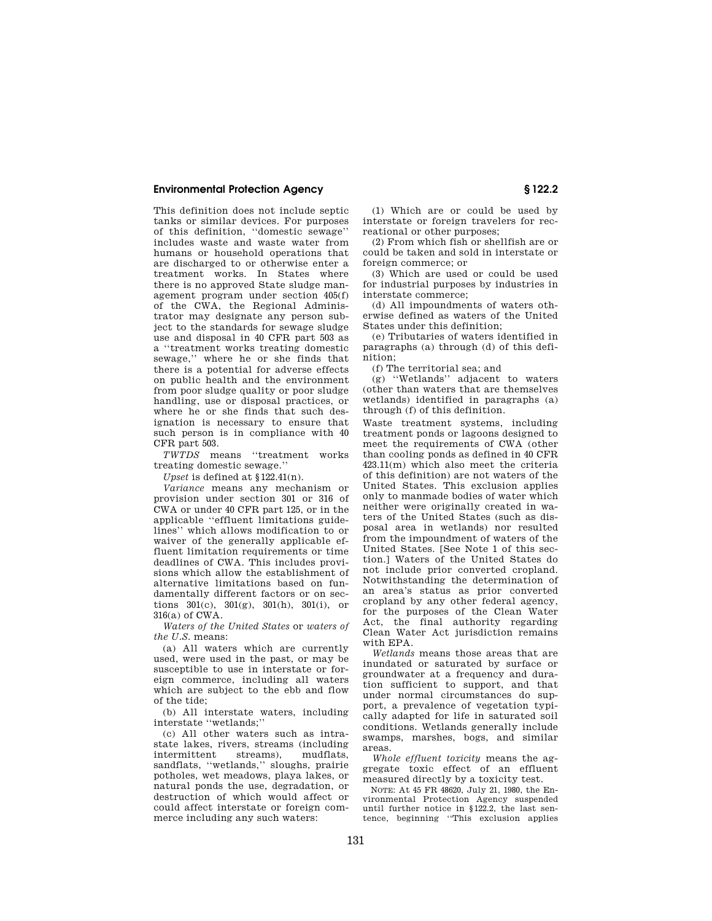This definition does not include septic tanks or similar devices. For purposes of this definition, ''domestic sewage'' includes waste and waste water from humans or household operations that are discharged to or otherwise enter a treatment works. In States where there is no approved State sludge management program under section 405(f) of the CWA, the Regional Administrator may designate any person subject to the standards for sewage sludge use and disposal in 40 CFR part 503 as a ''treatment works treating domestic sewage,'' where he or she finds that there is a potential for adverse effects on public health and the environment from poor sludge quality or poor sludge handling, use or disposal practices, or where he or she finds that such designation is necessary to ensure that such person is in compliance with 40 CFR part 503.

*TWTDS* means ''treatment works treating domestic sewage.''

*Upset* is defined at § 122.41(n).

*Variance* means any mechanism or provision under section 301 or 316 of CWA or under 40 CFR part 125, or in the applicable ''effluent limitations guidelines'' which allows modification to or waiver of the generally applicable effluent limitation requirements or time deadlines of CWA. This includes provisions which allow the establishment of alternative limitations based on fundamentally different factors or on sections 301(c), 301(g), 301(h), 301(i), or 316(a) of CWA.

*Waters of the United States* or *waters of the U.S.* means:

(a) All waters which are currently used, were used in the past, or may be susceptible to use in interstate or foreign commerce, including all waters which are subject to the ebb and flow of the tide;

(b) All interstate waters, including interstate ''wetlands;''

(c) All other waters such as intrastate lakes, rivers, streams (including<br>intermittent streams), mudflats, intermittent streams), mudflats, sandflats, ''wetlands,'' sloughs, prairie potholes, wet meadows, playa lakes, or natural ponds the use, degradation, or destruction of which would affect or could affect interstate or foreign commerce including any such waters:

(1) Which are or could be used by interstate or foreign travelers for recreational or other purposes;

(2) From which fish or shellfish are or could be taken and sold in interstate or foreign commerce; or

(3) Which are used or could be used for industrial purposes by industries in interstate commerce;

(d) All impoundments of waters otherwise defined as waters of the United States under this definition;

(e) Tributaries of waters identified in paragraphs (a) through (d) of this definition;

(f) The territorial sea; and

(g) ''Wetlands'' adjacent to waters (other than waters that are themselves wetlands) identified in paragraphs (a) through (f) of this definition.

Waste treatment systems, including treatment ponds or lagoons designed to meet the requirements of CWA (other than cooling ponds as defined in 40 CFR 423.11(m) which also meet the criteria of this definition) are not waters of the United States. This exclusion applies only to manmade bodies of water which neither were originally created in waters of the United States (such as disposal area in wetlands) nor resulted from the impoundment of waters of the United States. [See Note 1 of this section.] Waters of the United States do not include prior converted cropland. Notwithstanding the determination of an area's status as prior converted cropland by any other federal agency, for the purposes of the Clean Water Act, the final authority regarding Clean Water Act jurisdiction remains with EPA.

*Wetlands* means those areas that are inundated or saturated by surface or groundwater at a frequency and duration sufficient to support, and that under normal circumstances do support, a prevalence of vegetation typically adapted for life in saturated soil conditions. Wetlands generally include swamps, marshes, bogs, and similar areas.

*Whole effluent toxicity* means the aggregate toxic effect of an effluent measured directly by a toxicity test.

NOTE: At 45 FR 48620, July 21, 1980, the Environmental Protection Agency suspended until further notice in § 122.2, the last sentence, beginning ''This exclusion applies